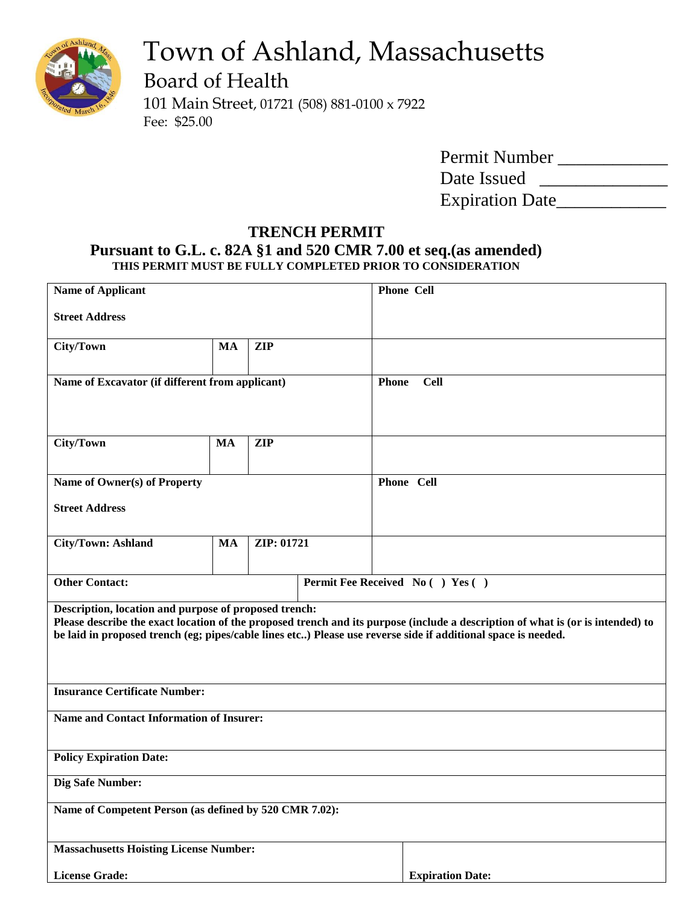

# Town of Ashland, Massachusetts

Board of Health

101 Main Street, 01721 (508) 881-0100 x 7922 Fee: \$25.00

| Permit Number          |  |
|------------------------|--|
| Date Issued            |  |
| <b>Expiration Date</b> |  |

# **TRENCH PERMIT Pursuant to G.L. c. 82A §1 and 520 CMR 7.00 et seq.(as amended) THIS PERMIT MUST BE FULLY COMPLETED PRIOR TO CONSIDERATION**

| <b>Name of Applicant</b>                                                                                                                                                                                                                                                                                  |           |            |              | <b>Phone Cell</b>       |
|-----------------------------------------------------------------------------------------------------------------------------------------------------------------------------------------------------------------------------------------------------------------------------------------------------------|-----------|------------|--------------|-------------------------|
| <b>Street Address</b>                                                                                                                                                                                                                                                                                     |           |            |              |                         |
| City/Town                                                                                                                                                                                                                                                                                                 | <b>MA</b> | <b>ZIP</b> |              |                         |
| Name of Excavator (if different from applicant)                                                                                                                                                                                                                                                           |           |            | <b>Phone</b> | <b>Cell</b>             |
| City/Town                                                                                                                                                                                                                                                                                                 | <b>MA</b> | <b>ZIP</b> |              |                         |
| Name of Owner(s) of Property                                                                                                                                                                                                                                                                              |           |            |              | Phone Cell              |
| <b>Street Address</b>                                                                                                                                                                                                                                                                                     |           |            |              |                         |
| <b>City/Town: Ashland</b>                                                                                                                                                                                                                                                                                 | MA        | ZIP: 01721 |              |                         |
| <b>Other Contact:</b><br>Permit Fee Received No ( ) Yes ( )                                                                                                                                                                                                                                               |           |            |              |                         |
| Description, location and purpose of proposed trench:<br>Please describe the exact location of the proposed trench and its purpose (include a description of what is (or is intended) to<br>be laid in proposed trench (eg; pipes/cable lines etc) Please use reverse side if additional space is needed. |           |            |              |                         |
| <b>Insurance Certificate Number:</b>                                                                                                                                                                                                                                                                      |           |            |              |                         |
| <b>Name and Contact Information of Insurer:</b>                                                                                                                                                                                                                                                           |           |            |              |                         |
| <b>Policy Expiration Date:</b>                                                                                                                                                                                                                                                                            |           |            |              |                         |
| Dig Safe Number:                                                                                                                                                                                                                                                                                          |           |            |              |                         |
| Name of Competent Person (as defined by 520 CMR 7.02):                                                                                                                                                                                                                                                    |           |            |              |                         |
| <b>Massachusetts Hoisting License Number:</b>                                                                                                                                                                                                                                                             |           |            |              |                         |
| <b>License Grade:</b>                                                                                                                                                                                                                                                                                     |           |            |              | <b>Expiration Date:</b> |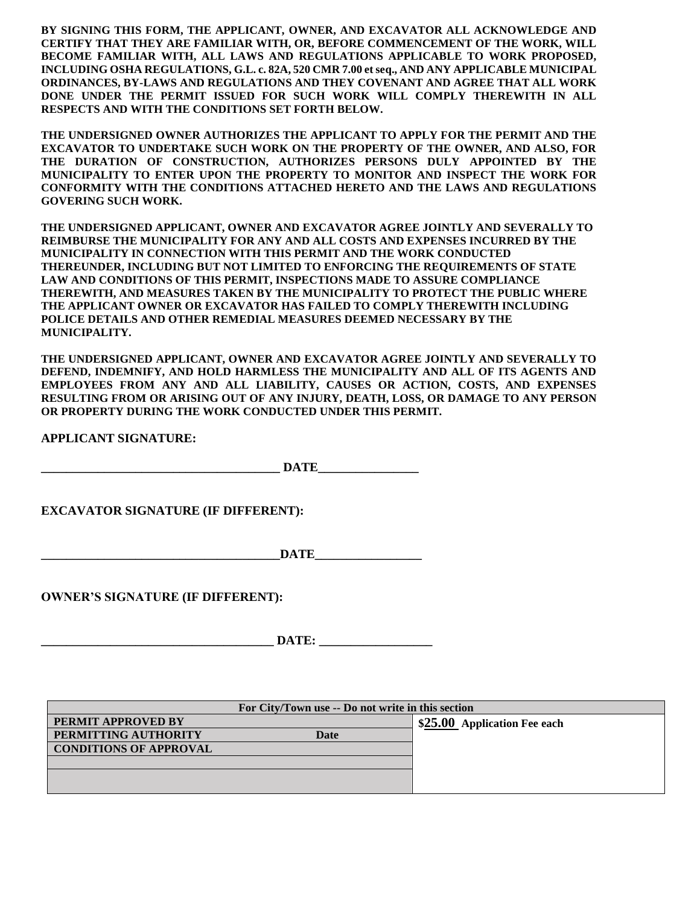**BY SIGNING THIS FORM, THE APPLICANT, OWNER, AND EXCAVATOR ALL ACKNOWLEDGE AND CERTIFY THAT THEY ARE FAMILIAR WITH, OR, BEFORE COMMENCEMENT OF THE WORK, WILL BECOME FAMILIAR WITH, ALL LAWS AND REGULATIONS APPLICABLE TO WORK PROPOSED, INCLUDING OSHA REGULATIONS, G.L. c. 82A, 520 CMR 7.00 et seq., AND ANY APPLICABLE MUNICIPAL ORDINANCES, BY-LAWS AND REGULATIONS AND THEY COVENANT AND AGREE THAT ALL WORK DONE UNDER THE PERMIT ISSUED FOR SUCH WORK WILL COMPLY THEREWITH IN ALL RESPECTS AND WITH THE CONDITIONS SET FORTH BELOW.**

**THE UNDERSIGNED OWNER AUTHORIZES THE APPLICANT TO APPLY FOR THE PERMIT AND THE EXCAVATOR TO UNDERTAKE SUCH WORK ON THE PROPERTY OF THE OWNER, AND ALSO, FOR THE DURATION OF CONSTRUCTION, AUTHORIZES PERSONS DULY APPOINTED BY THE MUNICIPALITY TO ENTER UPON THE PROPERTY TO MONITOR AND INSPECT THE WORK FOR CONFORMITY WITH THE CONDITIONS ATTACHED HERETO AND THE LAWS AND REGULATIONS GOVERING SUCH WORK.** 

**THE UNDERSIGNED APPLICANT, OWNER AND EXCAVATOR AGREE JOINTLY AND SEVERALLY TO REIMBURSE THE MUNICIPALITY FOR ANY AND ALL COSTS AND EXPENSES INCURRED BY THE MUNICIPALITY IN CONNECTION WITH THIS PERMIT AND THE WORK CONDUCTED THEREUNDER, INCLUDING BUT NOT LIMITED TO ENFORCING THE REQUIREMENTS OF STATE LAW AND CONDITIONS OF THIS PERMIT, INSPECTIONS MADE TO ASSURE COMPLIANCE THEREWITH, AND MEASURES TAKEN BY THE MUNICIPALITY TO PROTECT THE PUBLIC WHERE THE APPLICANT OWNER OR EXCAVATOR HAS FAILED TO COMPLY THEREWITH INCLUDING POLICE DETAILS AND OTHER REMEDIAL MEASURES DEEMED NECESSARY BY THE MUNICIPALITY.**

**THE UNDERSIGNED APPLICANT, OWNER AND EXCAVATOR AGREE JOINTLY AND SEVERALLY TO DEFEND, INDEMNIFY, AND HOLD HARMLESS THE MUNICIPALITY AND ALL OF ITS AGENTS AND EMPLOYEES FROM ANY AND ALL LIABILITY, CAUSES OR ACTION, COSTS, AND EXPENSES RESULTING FROM OR ARISING OUT OF ANY INJURY, DEATH, LOSS, OR DAMAGE TO ANY PERSON OR PROPERTY DURING THE WORK CONDUCTED UNDER THIS PERMIT.** 

**APPLICANT SIGNATURE:**

 $\bf{DATE}$ 

**EXCAVATOR SIGNATURE (IF DIFFERENT):**

 $\bf{DATE}$ 

**OWNER'S SIGNATURE (IF DIFFERENT):**

**\_\_\_\_\_\_\_\_\_\_\_\_\_\_\_\_\_\_\_\_\_\_\_\_\_\_\_\_\_\_\_\_\_\_\_\_\_ DATE: \_\_\_\_\_\_\_\_\_\_\_\_\_\_\_\_\_\_**

| For City/Town use -- Do not write in this section |                              |  |  |
|---------------------------------------------------|------------------------------|--|--|
| PERMIT APPROVED BY                                | \$25.00 Application Fee each |  |  |
| PERMITTING AUTHORITY<br>Date                      |                              |  |  |
| <b>CONDITIONS OF APPROVAL</b>                     |                              |  |  |
|                                                   |                              |  |  |
|                                                   |                              |  |  |
|                                                   |                              |  |  |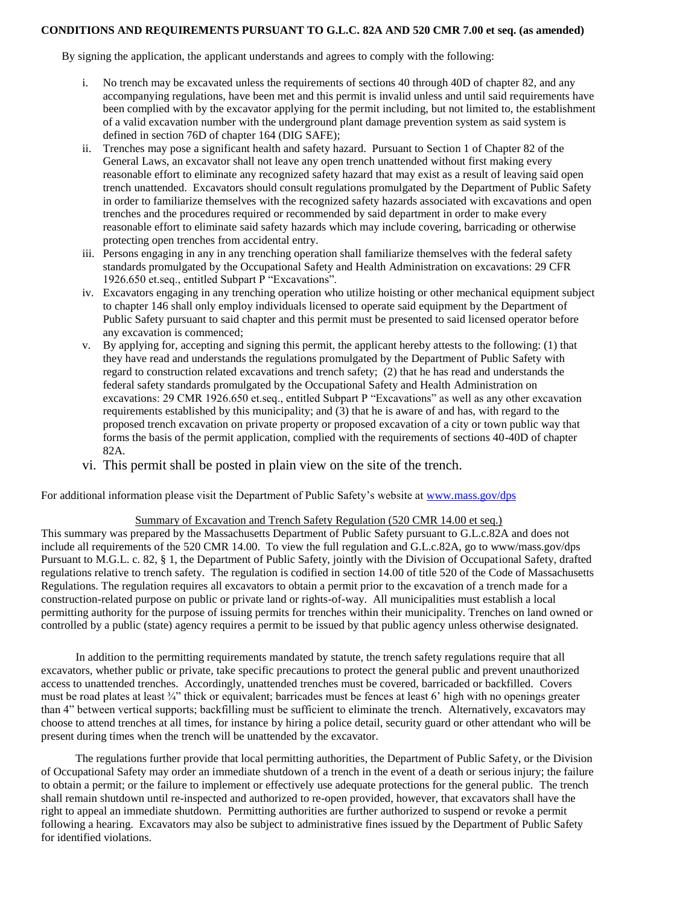#### **CONDITIONS AND REQUIREMENTS PURSUANT TO G.L.C. 82A AND 520 CMR 7.00 et seq. (as amended)**

By signing the application, the applicant understands and agrees to comply with the following:

- i. No trench may be excavated unless the requirements of sections 40 through 40D of chapter 82, and any accompanying regulations, have been met and this permit is invalid unless and until said requirements have been complied with by the excavator applying for the permit including, but not limited to, the establishment of a valid excavation number with the underground plant damage prevention system as said system is defined in section 76D of chapter 164 (DIG SAFE);
- ii. Trenches may pose a significant health and safety hazard. Pursuant to Section 1 of Chapter 82 of the General Laws, an excavator shall not leave any open trench unattended without first making every reasonable effort to eliminate any recognized safety hazard that may exist as a result of leaving said open trench unattended. Excavators should consult regulations promulgated by the Department of Public Safety in order to familiarize themselves with the recognized safety hazards associated with excavations and open trenches and the procedures required or recommended by said department in order to make every reasonable effort to eliminate said safety hazards which may include covering, barricading or otherwise protecting open trenches from accidental entry.
- iii. Persons engaging in any in any trenching operation shall familiarize themselves with the federal safety standards promulgated by the Occupational Safety and Health Administration on excavations: 29 CFR 1926.650 et.seq., entitled Subpart P "Excavations".
- iv. Excavators engaging in any trenching operation who utilize hoisting or other mechanical equipment subject to chapter 146 shall only employ individuals licensed to operate said equipment by the Department of Public Safety pursuant to said chapter and this permit must be presented to said licensed operator before any excavation is commenced;
- v. By applying for, accepting and signing this permit, the applicant hereby attests to the following: (1) that they have read and understands the regulations promulgated by the Department of Public Safety with regard to construction related excavations and trench safety; (2) that he has read and understands the federal safety standards promulgated by the Occupational Safety and Health Administration on excavations: 29 CMR 1926.650 et.seq., entitled Subpart P "Excavations" as well as any other excavation requirements established by this municipality; and (3) that he is aware of and has, with regard to the proposed trench excavation on private property or proposed excavation of a city or town public way that forms the basis of the permit application, complied with the requirements of sections 40-40D of chapter 82A.
- vi. This permit shall be posted in plain view on the site of the trench.

For additional information please visit the Department of Public Safety's website at [www.mass.gov/dps](http://www.mass.gov/dps)

#### Summary of Excavation and Trench Safety Regulation (520 CMR 14.00 et seq.)

This summary was prepared by the Massachusetts Department of Public Safety pursuant to G.L.c.82A and does not include all requirements of the 520 CMR 14.00. To view the full regulation and G.L.c.82A, go to www/mass.gov/dps Pursuant to M.G.L. c. 82, § 1, the Department of Public Safety, jointly with the Division of Occupational Safety, drafted regulations relative to trench safety. The regulation is codified in section 14.00 of title 520 of the Code of Massachusetts Regulations. The regulation requires all excavators to obtain a permit prior to the excavation of a trench made for a construction-related purpose on public or private land or rights-of-way. All municipalities must establish a local permitting authority for the purpose of issuing permits for trenches within their municipality. Trenches on land owned or controlled by a public (state) agency requires a permit to be issued by that public agency unless otherwise designated.

 In addition to the permitting requirements mandated by statute, the trench safety regulations require that all excavators, whether public or private, take specific precautions to protect the general public and prevent unauthorized access to unattended trenches. Accordingly, unattended trenches must be covered, barricaded or backfilled. Covers must be road plates at least ¼" thick or equivalent; barricades must be fences at least 6' high with no openings greater than 4" between vertical supports; backfilling must be sufficient to eliminate the trench. Alternatively, excavators may choose to attend trenches at all times, for instance by hiring a police detail, security guard or other attendant who will be present during times when the trench will be unattended by the excavator.

 The regulations further provide that local permitting authorities, the Department of Public Safety, or the Division of Occupational Safety may order an immediate shutdown of a trench in the event of a death or serious injury; the failure to obtain a permit; or the failure to implement or effectively use adequate protections for the general public. The trench shall remain shutdown until re-inspected and authorized to re-open provided, however, that excavators shall have the right to appeal an immediate shutdown. Permitting authorities are further authorized to suspend or revoke a permit following a hearing. Excavators may also be subject to administrative fines issued by the Department of Public Safety for identified violations.